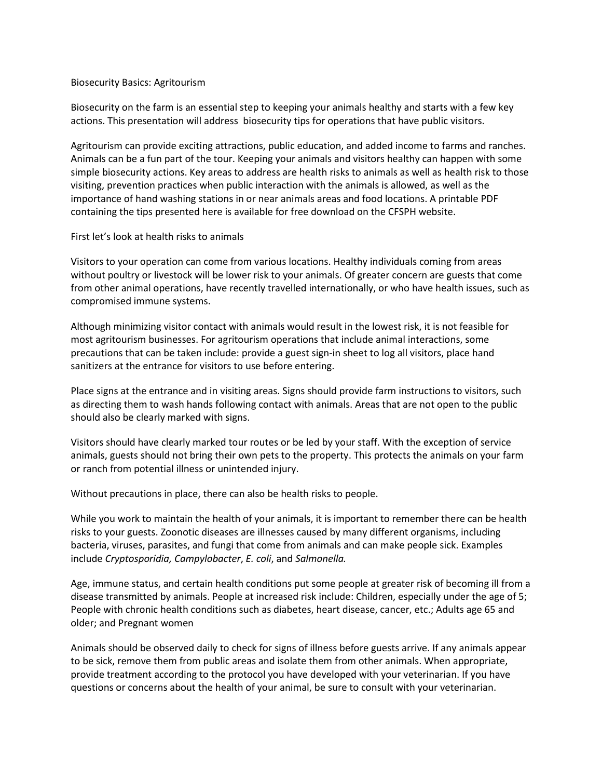## Biosecurity Basics: Agritourism

Biosecurity on the farm is an essential step to keeping your animals healthy and starts with a few key actions. This presentation will address biosecurity tips for operations that have public visitors.

Agritourism can provide exciting attractions, public education, and added income to farms and ranches. Animals can be a fun part of the tour. Keeping your animals and visitors healthy can happen with some simple biosecurity actions. Key areas to address are health risks to animals as well as health risk to those visiting, prevention practices when public interaction with the animals is allowed, as well as the importance of hand washing stations in or near animals areas and food locations. A printable PDF containing the tips presented here is available for free download on the CFSPH website.

## First let's look at health risks to animals

Visitors to your operation can come from various locations. Healthy individuals coming from areas without poultry or livestock will be lower risk to your animals. Of greater concern are guests that come from other animal operations, have recently travelled internationally, or who have health issues, such as compromised immune systems.

Although minimizing visitor contact with animals would result in the lowest risk, it is not feasible for most agritourism businesses. For agritourism operations that include animal interactions, some precautions that can be taken include: provide a guest sign-in sheet to log all visitors, place hand sanitizers at the entrance for visitors to use before entering.

Place signs at the entrance and in visiting areas. Signs should provide farm instructions to visitors, such as directing them to wash hands following contact with animals. Areas that are not open to the public should also be clearly marked with signs.

Visitors should have clearly marked tour routes or be led by your staff. With the exception of service animals, guests should not bring their own pets to the property. This protects the animals on your farm or ranch from potential illness or unintended injury.

Without precautions in place, there can also be health risks to people.

While you work to maintain the health of your animals, it is important to remember there can be health risks to your guests. Zoonotic diseases are illnesses caused by many different organisms, including bacteria, viruses, parasites, and fungi that come from animals and can make people sick. Examples include *Cryptosporidia, Campylobacter*, *E. coli*, and *Salmonella.*

Age, immune status, and certain health conditions put some people at greater risk of becoming ill from a disease transmitted by animals. People at increased risk include: Children, especially under the age of 5; People with chronic health conditions such as diabetes, heart disease, cancer, etc.; Adults age 65 and older; and Pregnant women

Animals should be observed daily to check for signs of illness before guests arrive. If any animals appear to be sick, remove them from public areas and isolate them from other animals. When appropriate, provide treatment according to the protocol you have developed with your veterinarian. If you have questions or concerns about the health of your animal, be sure to consult with your veterinarian.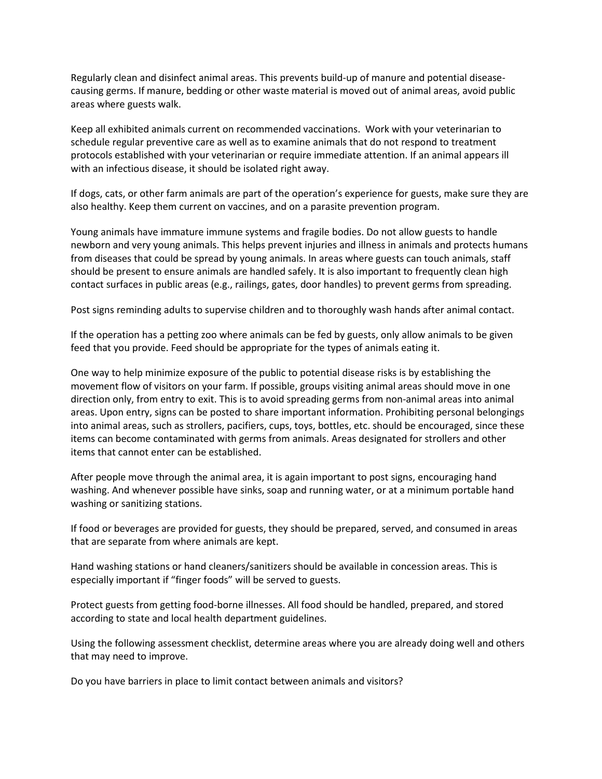Regularly clean and disinfect animal areas. This prevents build-up of manure and potential diseasecausing germs. If manure, bedding or other waste material is moved out of animal areas, avoid public areas where guests walk.

Keep all exhibited animals current on recommended vaccinations. Work with your veterinarian to schedule regular preventive care as well as to examine animals that do not respond to treatment protocols established with your veterinarian or require immediate attention. If an animal appears ill with an infectious disease, it should be isolated right away.

If dogs, cats, or other farm animals are part of the operation's experience for guests, make sure they are also healthy. Keep them current on vaccines, and on a parasite prevention program.

Young animals have immature immune systems and fragile bodies. Do not allow guests to handle newborn and very young animals. This helps prevent injuries and illness in animals and protects humans from diseases that could be spread by young animals. In areas where guests can touch animals, staff should be present to ensure animals are handled safely. It is also important to frequently clean high contact surfaces in public areas (e.g., railings, gates, door handles) to prevent germs from spreading.

Post signs reminding adults to supervise children and to thoroughly wash hands after animal contact.

If the operation has a petting zoo where animals can be fed by guests, only allow animals to be given feed that you provide. Feed should be appropriate for the types of animals eating it.

One way to help minimize exposure of the public to potential disease risks is by establishing the movement flow of visitors on your farm. If possible, groups visiting animal areas should move in one direction only, from entry to exit. This is to avoid spreading germs from non-animal areas into animal areas. Upon entry, signs can be posted to share important information. Prohibiting personal belongings into animal areas, such as strollers, pacifiers, cups, toys, bottles, etc. should be encouraged, since these items can become contaminated with germs from animals. Areas designated for strollers and other items that cannot enter can be established.

After people move through the animal area, it is again important to post signs, encouraging hand washing. And whenever possible have sinks, soap and running water, or at a minimum portable hand washing or sanitizing stations.

If food or beverages are provided for guests, they should be prepared, served, and consumed in areas that are separate from where animals are kept.

Hand washing stations or hand cleaners/sanitizers should be available in concession areas. This is especially important if "finger foods" will be served to guests.

Protect guests from getting food-borne illnesses. All food should be handled, prepared, and stored according to state and local health department guidelines.

Using the following assessment checklist, determine areas where you are already doing well and others that may need to improve.

Do you have barriers in place to limit contact between animals and visitors?